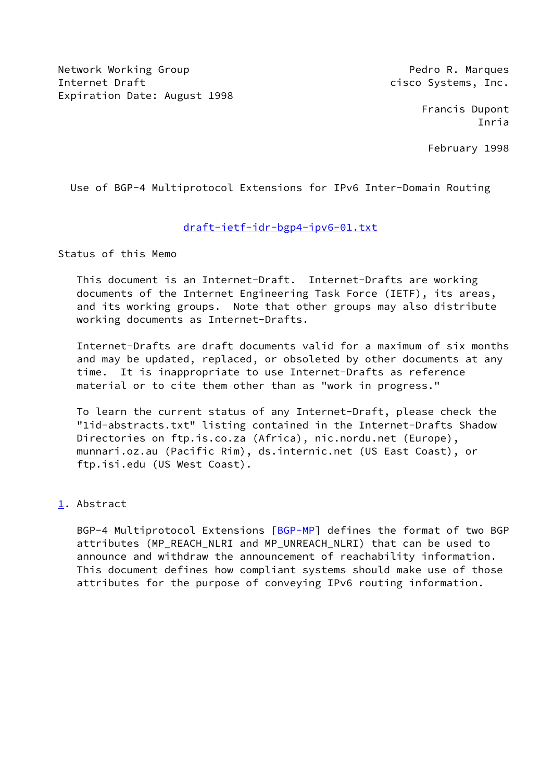Network Working Group **Pedro R. Marques** Pedro R. Marques Internet Draft **channel** cisco Systems, Inc. Expiration Date: August 1998

 Francis Dupont Inria

February 1998

Use of BGP-4 Multiprotocol Extensions for IPv6 Inter-Domain Routing

# [draft-ietf-idr-bgp4-ipv6-01.txt](https://datatracker.ietf.org/doc/pdf/draft-ietf-idr-bgp4-ipv6-01.txt)

Status of this Memo

 This document is an Internet-Draft. Internet-Drafts are working documents of the Internet Engineering Task Force (IETF), its areas, and its working groups. Note that other groups may also distribute working documents as Internet-Drafts.

 Internet-Drafts are draft documents valid for a maximum of six months and may be updated, replaced, or obsoleted by other documents at any time. It is inappropriate to use Internet-Drafts as reference material or to cite them other than as "work in progress."

 To learn the current status of any Internet-Draft, please check the "1id-abstracts.txt" listing contained in the Internet-Drafts Shadow Directories on ftp.is.co.za (Africa), nic.nordu.net (Europe), munnari.oz.au (Pacific Rim), ds.internic.net (US East Coast), or ftp.isi.edu (US West Coast).

## <span id="page-0-0"></span>[1](#page-0-0). Abstract

BGP-4 Multiprotocol Extensions [\[BGP-MP](#page-4-0)] defines the format of two BGP attributes (MP\_REACH\_NLRI and MP\_UNREACH\_NLRI) that can be used to announce and withdraw the announcement of reachability information. This document defines how compliant systems should make use of those attributes for the purpose of conveying IPv6 routing information.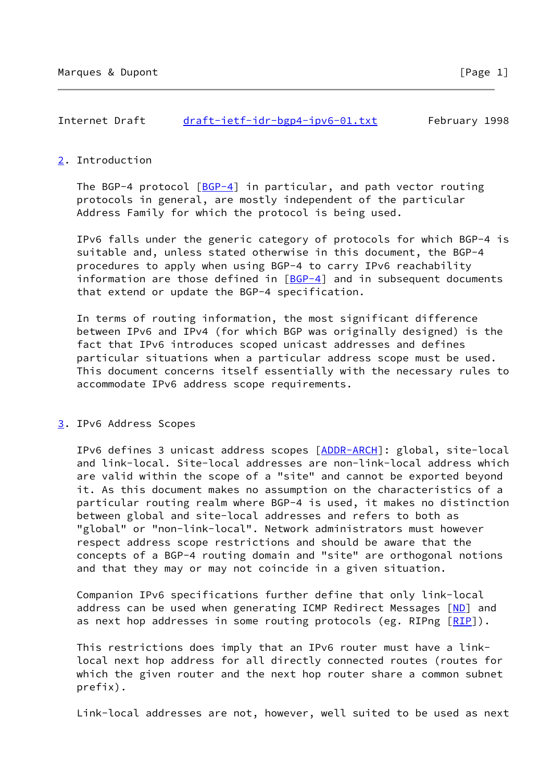| Internet Draft | $draff-ietf-idr-bgp4-ipv6-01.txt$ | February 1998 |  |
|----------------|-----------------------------------|---------------|--|
|                |                                   |               |  |

#### <span id="page-1-0"></span>[2](#page-1-0). Introduction

The BGP-4 protocol  $[BGP-4]$  $[BGP-4]$  in particular, and path vector routing protocols in general, are mostly independent of the particular Address Family for which the protocol is being used.

 IPv6 falls under the generic category of protocols for which BGP-4 is suitable and, unless stated otherwise in this document, the BGP-4 procedures to apply when using BGP-4 to carry IPv6 reachability information are those defined in  $[BCP-4]$  and in subsequent documents that extend or update the BGP-4 specification.

 In terms of routing information, the most significant difference between IPv6 and IPv4 (for which BGP was originally designed) is the fact that IPv6 introduces scoped unicast addresses and defines particular situations when a particular address scope must be used. This document concerns itself essentially with the necessary rules to accommodate IPv6 address scope requirements.

#### <span id="page-1-1"></span>[3](#page-1-1). IPv6 Address Scopes

IPv6 defines 3 unicast address scopes [[ADDR-ARCH\]](#page-3-0): global, site-local and link-local. Site-local addresses are non-link-local address which are valid within the scope of a "site" and cannot be exported beyond it. As this document makes no assumption on the characteristics of a particular routing realm where BGP-4 is used, it makes no distinction between global and site-local addresses and refers to both as "global" or "non-link-local". Network administrators must however respect address scope restrictions and should be aware that the concepts of a BGP-4 routing domain and "site" are orthogonal notions and that they may or may not coincide in a given situation.

 Companion IPv6 specifications further define that only link-local address can be used when generating ICMP Redirect Messages [[ND\]](#page-4-2) and as next hop addresses in some routing protocols (eg. RIPng  $[RIP]$  $[RIP]$ ).

 This restrictions does imply that an IPv6 router must have a link local next hop address for all directly connected routes (routes for which the given router and the next hop router share a common subnet prefix).

Link-local addresses are not, however, well suited to be used as next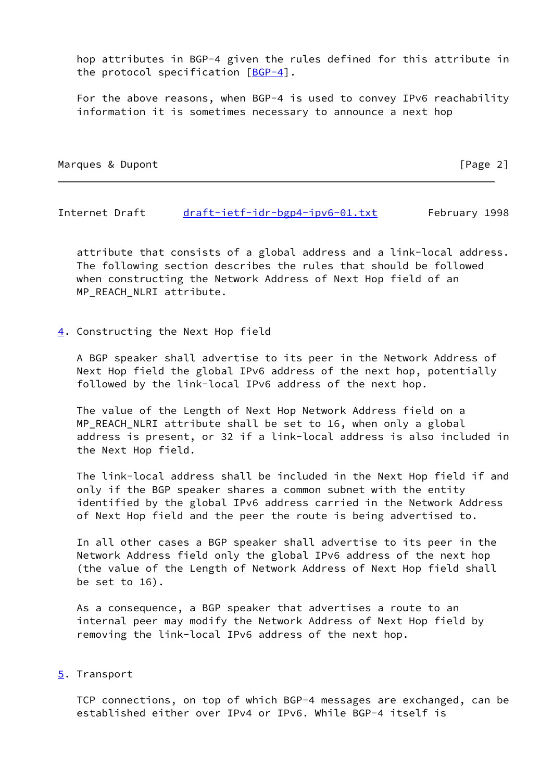hop attributes in BGP-4 given the rules defined for this attribute in the protocol specification [[BGP-4\]](#page-4-1).

 For the above reasons, when BGP-4 is used to convey IPv6 reachability information it is sometimes necessary to announce a next hop

Marques & Dupont [Page 2]

Internet Draft [draft-ietf-idr-bgp4-ipv6-01.txt](https://datatracker.ietf.org/doc/pdf/draft-ietf-idr-bgp4-ipv6-01.txt) February 1998

 attribute that consists of a global address and a link-local address. The following section describes the rules that should be followed when constructing the Network Address of Next Hop field of an MP\_REACH\_NLRI attribute.

#### <span id="page-2-0"></span>[4](#page-2-0). Constructing the Next Hop field

 A BGP speaker shall advertise to its peer in the Network Address of Next Hop field the global IPv6 address of the next hop, potentially followed by the link-local IPv6 address of the next hop.

 The value of the Length of Next Hop Network Address field on a MP\_REACH\_NLRI attribute shall be set to 16, when only a global address is present, or 32 if a link-local address is also included in the Next Hop field.

 The link-local address shall be included in the Next Hop field if and only if the BGP speaker shares a common subnet with the entity identified by the global IPv6 address carried in the Network Address of Next Hop field and the peer the route is being advertised to.

 In all other cases a BGP speaker shall advertise to its peer in the Network Address field only the global IPv6 address of the next hop (the value of the Length of Network Address of Next Hop field shall be set to 16).

 As a consequence, a BGP speaker that advertises a route to an internal peer may modify the Network Address of Next Hop field by removing the link-local IPv6 address of the next hop.

#### <span id="page-2-1"></span>[5](#page-2-1). Transport

 TCP connections, on top of which BGP-4 messages are exchanged, can be established either over IPv4 or IPv6. While BGP-4 itself is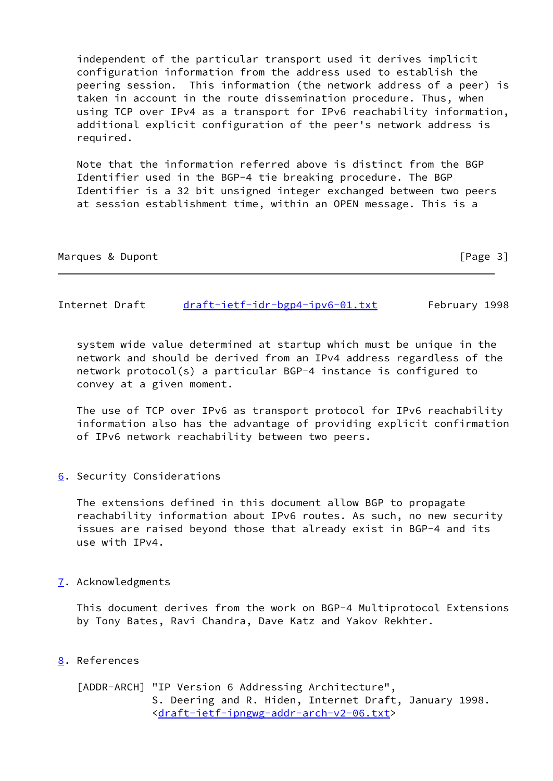independent of the particular transport used it derives implicit configuration information from the address used to establish the peering session. This information (the network address of a peer) is taken in account in the route dissemination procedure. Thus, when using TCP over IPv4 as a transport for IPv6 reachability information, additional explicit configuration of the peer's network address is required.

 Note that the information referred above is distinct from the BGP Identifier used in the BGP-4 tie breaking procedure. The BGP Identifier is a 32 bit unsigned integer exchanged between two peers at session establishment time, within an OPEN message. This is a

| Marques & Dupont |  | [Page 3] |  |
|------------------|--|----------|--|
|                  |  |          |  |

Internet Draft [draft-ietf-idr-bgp4-ipv6-01.txt](https://datatracker.ietf.org/doc/pdf/draft-ietf-idr-bgp4-ipv6-01.txt) February 1998

 system wide value determined at startup which must be unique in the network and should be derived from an IPv4 address regardless of the network protocol(s) a particular BGP-4 instance is configured to convey at a given moment.

 The use of TCP over IPv6 as transport protocol for IPv6 reachability information also has the advantage of providing explicit confirmation of IPv6 network reachability between two peers.

<span id="page-3-1"></span>[6](#page-3-1). Security Considerations

 The extensions defined in this document allow BGP to propagate reachability information about IPv6 routes. As such, no new security issues are raised beyond those that already exist in BGP-4 and its use with IPv4.

<span id="page-3-2"></span>[7](#page-3-2). Acknowledgments

 This document derives from the work on BGP-4 Multiprotocol Extensions by Tony Bates, Ravi Chandra, Dave Katz and Yakov Rekhter.

<span id="page-3-3"></span>[8](#page-3-3). References

<span id="page-3-0"></span> [ADDR-ARCH] "IP Version 6 Addressing Architecture", S. Deering and R. Hiden, Internet Draft, January 1998. [<draft-ietf-ipngwg-addr-arch-v2-06.txt](https://datatracker.ietf.org/doc/pdf/draft-ietf-ipngwg-addr-arch-v2-06.txt)>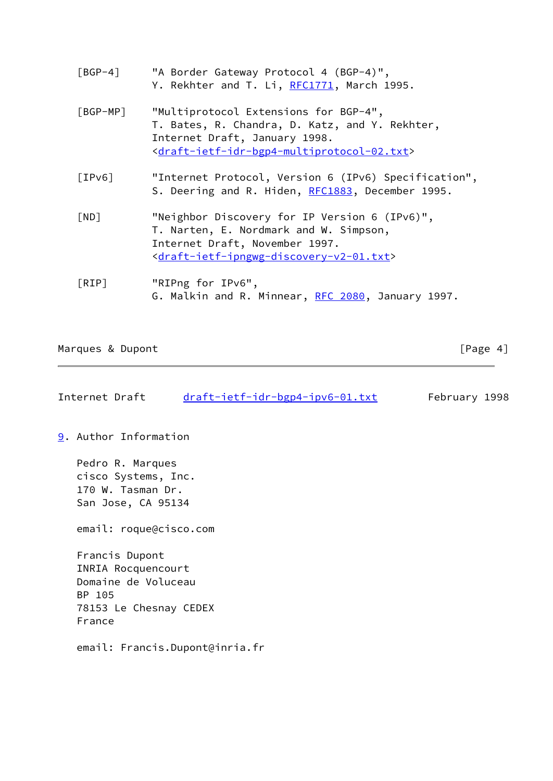- <span id="page-4-1"></span> [BGP-4] "A Border Gateway Protocol 4 (BGP-4)", Y. Rekhter and T. Li, [RFC1771](https://datatracker.ietf.org/doc/pdf/rfc1771), March 1995.
- <span id="page-4-0"></span> [BGP-MP] "Multiprotocol Extensions for BGP-4", T. Bates, R. Chandra, D. Katz, and Y. Rekhter, Internet Draft, January 1998. [<draft-ietf-idr-bgp4-multiprotocol-02.txt](https://datatracker.ietf.org/doc/pdf/draft-ietf-idr-bgp4-multiprotocol-02.txt)>
- [IPv6] "Internet Protocol, Version 6 (IPv6) Specification", S. Deering and R. Hiden, [RFC1883](https://datatracker.ietf.org/doc/pdf/rfc1883), December 1995.
- <span id="page-4-2"></span> [ND] "Neighbor Discovery for IP Version 6 (IPv6)", T. Narten, E. Nordmark and W. Simpson, Internet Draft, November 1997. [<draft-ietf-ipngwg-discovery-v2-01.txt](https://datatracker.ietf.org/doc/pdf/draft-ietf-ipngwg-discovery-v2-01.txt)>
- <span id="page-4-3"></span> [RIP] "RIPng for IPv6", G. Malkin and R. Minnear, [RFC 2080](https://datatracker.ietf.org/doc/pdf/rfc2080), January 1997.

### Marques & Dupont [Page 4]

| Internet Draft | $draff-ietf-idr-bgp4-ipv6-01.txt$ | February 1998 |  |
|----------------|-----------------------------------|---------------|--|
|----------------|-----------------------------------|---------------|--|

<span id="page-4-4"></span>[9](#page-4-4). Author Information

 Pedro R. Marques cisco Systems, Inc. 170 W. Tasman Dr. San Jose, CA 95134

email: roque@cisco.com

 Francis Dupont INRIA Rocquencourt Domaine de Voluceau BP 105 78153 Le Chesnay CEDEX France

email: Francis.Dupont@inria.fr